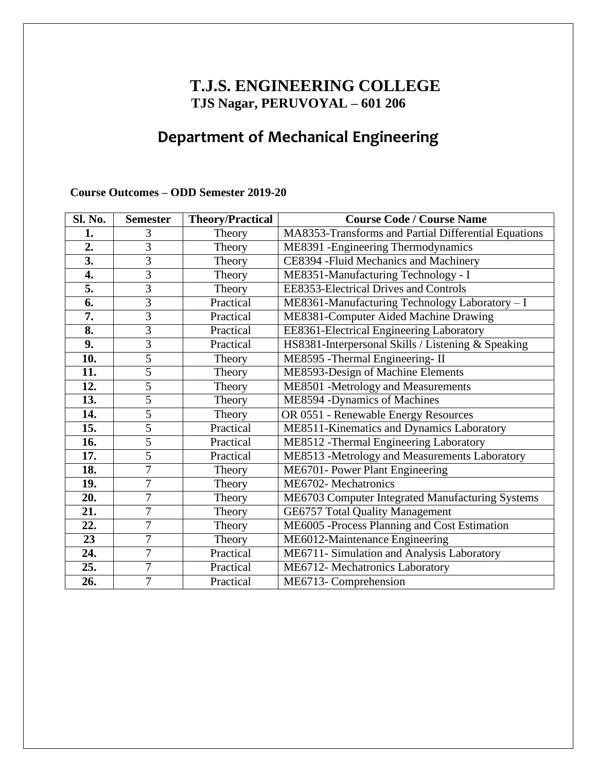## **T.J.S. ENGINEERING COLLEGE TJS Nagar, PERUVOYAL – 601 206**

# **Department of Mechanical Engineering**

#### **Course Outcomes – ODD Semester 2019-20**

| Sl. No.          | <b>Semester</b> | <b>Theory/Practical</b> | <b>Course Code / Course Name</b>                     |
|------------------|-----------------|-------------------------|------------------------------------------------------|
| 1.               | 3               | Theory                  | MA8353-Transforms and Partial Differential Equations |
| 2.               | 3               | Theory                  | ME8391 - Engineering Thermodynamics                  |
| $\overline{3}$ . | 3               | Theory                  | CE8394 - Fluid Mechanics and Machinery               |
| $\overline{4}$ . | $\overline{3}$  | Theory                  | ME8351-Manufacturing Technology - I                  |
| 5.               | 3               | Theory                  | <b>EE8353-Electrical Drives and Controls</b>         |
| $\overline{6}$ . | $\overline{3}$  | Practical               | ME8361-Manufacturing Technology Laboratory - I       |
| $\overline{7}$ . | $\overline{3}$  | Practical               | ME8381-Computer Aided Machine Drawing                |
| 8.               | 3               | Practical               | EE8361-Electrical Engineering Laboratory             |
| 9.               | 3               | Practical               | HS8381-Interpersonal Skills / Listening & Speaking   |
| 10.              | 5               | Theory                  | ME8595 - Thermal Engineering-II                      |
| 11.              | 5               | Theory                  | ME8593-Design of Machine Elements                    |
| 12.              | $\overline{5}$  | Theory                  | ME8501 -Metrology and Measurements                   |
| 13.              | 5               | Theory                  | ME8594 - Dynamics of Machines                        |
| 14.              | 5               | Theory                  | OR 0551 - Renewable Energy Resources                 |
| 15.              | 5               | Practical               | ME8511-Kinematics and Dynamics Laboratory            |
| 16.              | $\overline{5}$  | Practical               | ME8512 - Thermal Engineering Laboratory              |
| 17.              | $\overline{5}$  | Practical               | ME8513 -Metrology and Measurements Laboratory        |
| 18.              | 7               | Theory                  | ME6701- Power Plant Engineering                      |
| 19.              | 7               | Theory                  | ME6702-Mechatronics                                  |
| 20.              | 7               | Theory                  | ME6703 Computer Integrated Manufacturing Systems     |
| 21.              | $\overline{7}$  | Theory                  | <b>GE6757 Total Quality Management</b>               |
| 22.              | 7               | Theory                  | ME6005 -Process Planning and Cost Estimation         |
| 23               | 7               | Theory                  | ME6012-Maintenance Engineering                       |
| 24.              | 7               | Practical               | ME6711- Simulation and Analysis Laboratory           |
| 25.              | $\overline{7}$  | Practical               | ME6712- Mechatronics Laboratory                      |
| 26.              | $\overline{7}$  | Practical               | ME6713- Comprehension                                |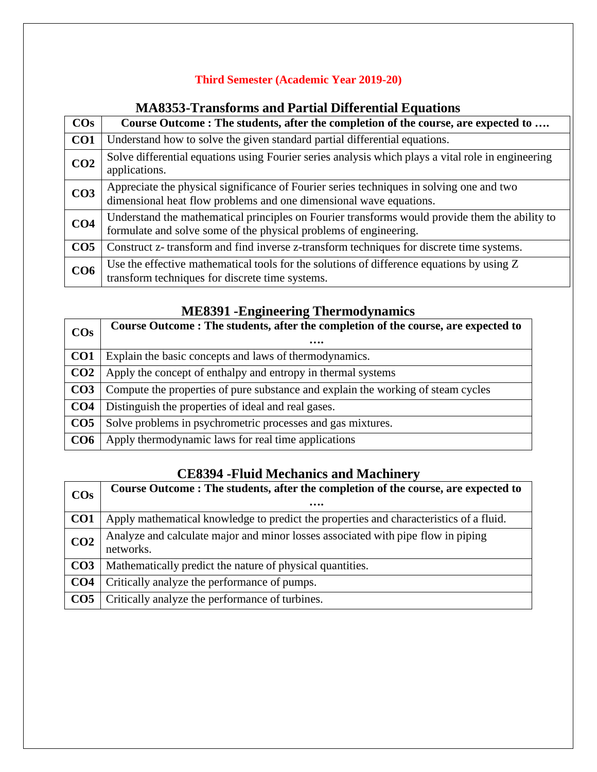#### **Third Semester (Academic Year 2019-20)**

### **COs Course Outcome : The students, after the completion of the course, are expected to …. CO1** Understand how to solve the given standard partial differential equations. **CO2** Solve differential equations using Fourier series analysis which plays a vital role in engineering applications. **CO3** Appreciate the physical significance of Fourier series techniques in solving one and two dimensional heat flow problems and one dimensional wave equations. **CO4** Understand the mathematical principles on Fourier transforms would provide them the ability to formulate and solve some of the physical problems of engineering. **CO5** Construct z- transform and find inverse z-transform techniques for discrete time systems. **CO6** Use the effective mathematical tools for the solutions of difference equations by using Z transform techniques for discrete time systems.

#### **MA8353-Transforms and Partial Differential Equations**

#### **ME8391 -Engineering Thermodynamics**

| $\cos$          | Course Outcome: The students, after the completion of the course, are expected to |
|-----------------|-----------------------------------------------------------------------------------|
|                 |                                                                                   |
| CO <sub>1</sub> | Explain the basic concepts and laws of thermodynamics.                            |
| CO <sub>2</sub> | Apply the concept of enthalpy and entropy in thermal systems                      |
| CO <sub>3</sub> | Compute the properties of pure substance and explain the working of steam cycles  |
| CO <sub>4</sub> | Distinguish the properties of ideal and real gases.                               |
| CO <sub>5</sub> | Solve problems in psychrometric processes and gas mixtures.                       |
| CO6             | Apply thermodynamic laws for real time applications                               |

#### **CE8394 -Fluid Mechanics and Machinery**

| $\cos$          | Course Outcome: The students, after the completion of the course, are expected to<br>         |
|-----------------|-----------------------------------------------------------------------------------------------|
| CO <sub>1</sub> | Apply mathematical knowledge to predict the properties and characteristics of a fluid.        |
| CO <sub>2</sub> | Analyze and calculate major and minor losses associated with pipe flow in piping<br>networks. |
| CO <sub>3</sub> | Mathematically predict the nature of physical quantities.                                     |
| CO <sub>4</sub> | Critically analyze the performance of pumps.                                                  |
| CO <sub>5</sub> | Critically analyze the performance of turbines.                                               |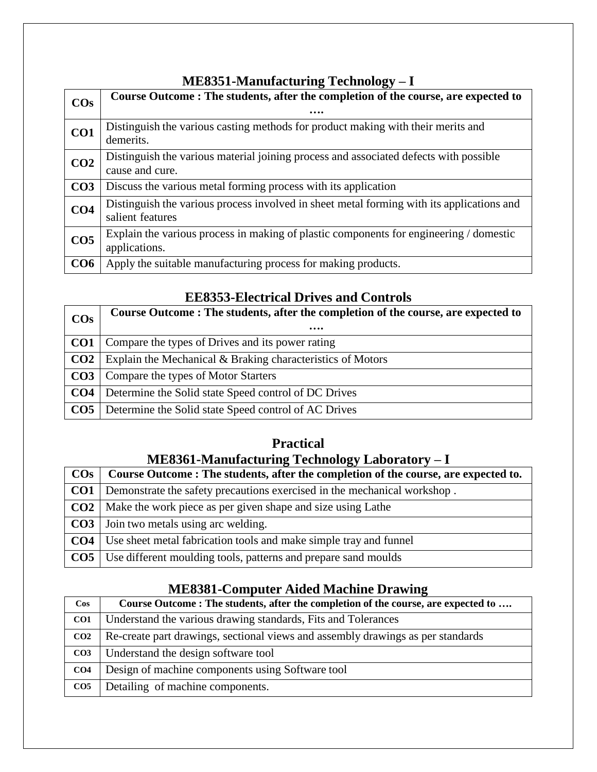### **ME8351-Manufacturing Technology – I**

| $\cos$          | Course Outcome : The students, after the completion of the course, are expected to                            |
|-----------------|---------------------------------------------------------------------------------------------------------------|
|                 | .                                                                                                             |
| CO <sub>1</sub> | Distinguish the various casting methods for product making with their merits and<br>demerits.                 |
| CO <sub>2</sub> | Distinguish the various material joining process and associated defects with possible<br>cause and cure.      |
| CO <sub>3</sub> | Discuss the various metal forming process with its application                                                |
| CO <sub>4</sub> | Distinguish the various process involved in sheet metal forming with its applications and<br>salient features |
| CO <sub>5</sub> | Explain the various process in making of plastic components for engineering / domestic<br>applications.       |
| CO6             | Apply the suitable manufacturing process for making products.                                                 |

### **EE8353-Electrical Drives and Controls**

| $\cos$          | Course Outcome: The students, after the completion of the course, are expected to<br> |
|-----------------|---------------------------------------------------------------------------------------|
| CO <sub>1</sub> | Compare the types of Drives and its power rating                                      |
| CO <sub>2</sub> | Explain the Mechanical & Braking characteristics of Motors                            |
| CO <sub>3</sub> | Compare the types of Motor Starters                                                   |
| CO <sub>4</sub> | Determine the Solid state Speed control of DC Drives                                  |
| CO <sub>5</sub> | Determine the Solid state Speed control of AC Drives                                  |

# **Practical**

## **ME8361-Manufacturing Technology Laboratory – I**

| $\cos$          | Course Outcome: The students, after the completion of the course, are expected to.  |
|-----------------|-------------------------------------------------------------------------------------|
|                 | <b>CO1</b> Demonstrate the safety precautions exercised in the mechanical workshop. |
|                 | <b>CO2</b>   Make the work piece as per given shape and size using Lathe            |
|                 | <b>CO3</b>   Join two metals using arc welding.                                     |
| CO <sub>4</sub> | Use sheet metal fabrication tools and make simple tray and funnel                   |
|                 | <b>CO5</b>   Use different moulding tools, patterns and prepare sand moulds         |

### **ME8381-Computer Aided Machine Drawing**

| $\cos$          | Course Outcome : The students, after the completion of the course, are expected to |
|-----------------|------------------------------------------------------------------------------------|
| CO <sub>1</sub> | Understand the various drawing standards, Fits and Tolerances                      |
| CO <sub>2</sub> | Re-create part drawings, sectional views and assembly drawings as per standards    |
| CO <sub>3</sub> | Understand the design software tool                                                |
| CO <sub>4</sub> | Design of machine components using Software tool                                   |
| CO <sub>5</sub> | Detailing of machine components.                                                   |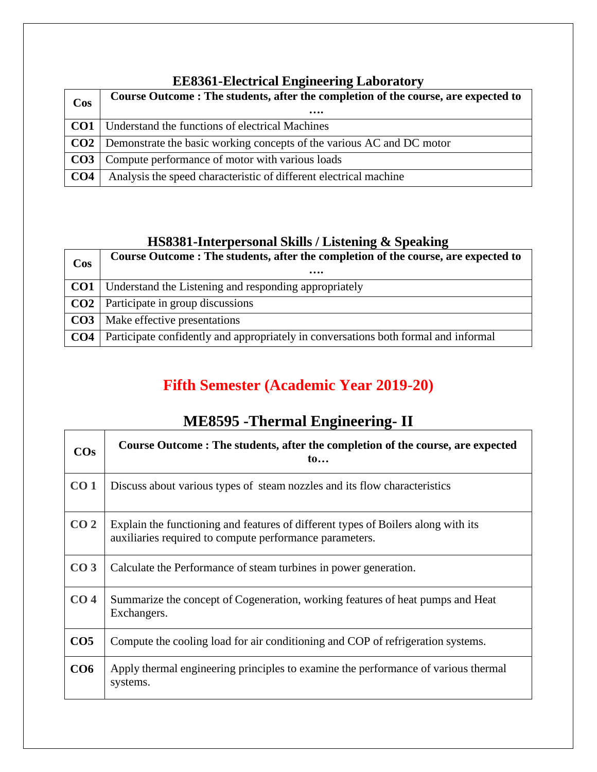### **EE8361-Electrical Engineering Laboratory**

| <b>Cos</b>      | Course Outcome: The students, after the completion of the course, are expected to<br> |
|-----------------|---------------------------------------------------------------------------------------|
| CO <sub>1</sub> | Understand the functions of electrical Machines                                       |
|                 | <b>CO2</b> Demonstrate the basic working concepts of the various AC and DC motor      |
|                 | <b>CO3</b> Compute performance of motor with various loads                            |
| CO <sub>4</sub> | Analysis the speed characteristic of different electrical machine                     |

## **HS8381-Interpersonal Skills / Listening & Speaking**

| <b>Cos</b>      | Course Outcome: The students, after the completion of the course, are expected to<br> |
|-----------------|---------------------------------------------------------------------------------------|
| CO1             | Understand the Listening and responding appropriately                                 |
| CO <sub>2</sub> | Participate in group discussions                                                      |
|                 | <b>CO3</b>   Make effective presentations                                             |
| CO <sub>4</sub> | Participate confidently and appropriately in conversations both formal and informal   |

# **Fifth Semester (Academic Year 2019-20)**

# **ME8595 -Thermal Engineering- II**

| COs             | Course Outcome: The students, after the completion of the course, are expected<br>$\mathbf{t_0}$                                             |
|-----------------|----------------------------------------------------------------------------------------------------------------------------------------------|
| CO <sub>1</sub> | Discuss about various types of steam nozzles and its flow characteristics                                                                    |
| CO <sub>2</sub> | Explain the functioning and features of different types of Boilers along with its<br>auxiliaries required to compute performance parameters. |
| CO <sub>3</sub> | Calculate the Performance of steam turbines in power generation.                                                                             |
| CO <sub>4</sub> | Summarize the concept of Cogeneration, working features of heat pumps and Heat<br>Exchangers.                                                |
| CO <sub>5</sub> | Compute the cooling load for air conditioning and COP of refrigeration systems.                                                              |
| CO6             | Apply thermal engineering principles to examine the performance of various thermal<br>systems.                                               |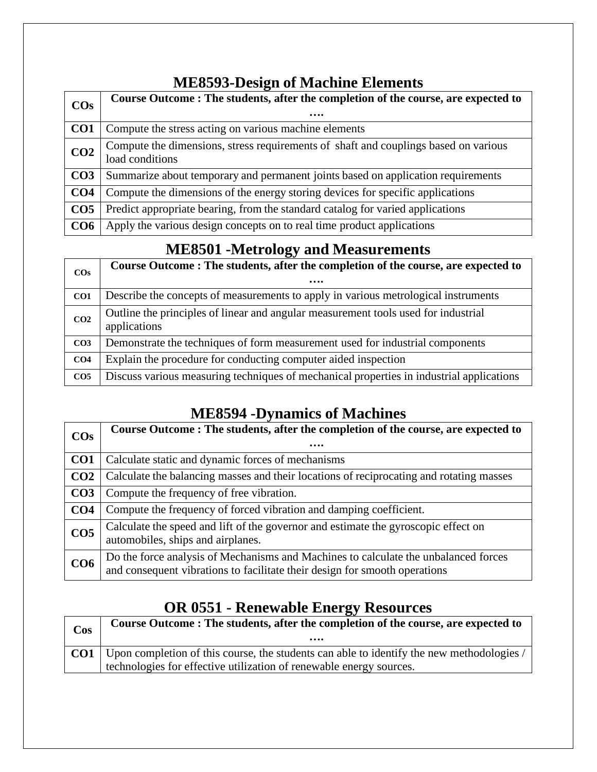## **ME8593-Design of Machine Elements**

| $\cos$          | Course Outcome: The students, after the completion of the course, are expected to                      |
|-----------------|--------------------------------------------------------------------------------------------------------|
|                 |                                                                                                        |
| CO <sub>1</sub> | Compute the stress acting on various machine elements                                                  |
| CO <sub>2</sub> | Compute the dimensions, stress requirements of shaft and couplings based on various<br>load conditions |
| CO <sub>3</sub> | Summarize about temporary and permanent joints based on application requirements                       |
| CO <sub>4</sub> | Compute the dimensions of the energy storing devices for specific applications                         |
| CO <sub>5</sub> | Predict appropriate bearing, from the standard catalog for varied applications                         |
| CO6             | Apply the various design concepts on to real time product applications                                 |

## **ME8501 -Metrology and Measurements**

|                 | $\sum$                                                                                             |
|-----------------|----------------------------------------------------------------------------------------------------|
| $\cos$          | Course Outcome: The students, after the completion of the course, are expected to<br>              |
| CO <sub>1</sub> | Describe the concepts of measurements to apply in various metrological instruments                 |
| CO <sub>2</sub> | Outline the principles of linear and angular measurement tools used for industrial<br>applications |
| CO <sub>3</sub> | Demonstrate the techniques of form measurement used for industrial components                      |
| CO <sub>4</sub> | Explain the procedure for conducting computer aided inspection                                     |
| CO <sub>5</sub> | Discuss various measuring techniques of mechanical properties in industrial applications           |

# **ME8594 -Dynamics of Machines**

| $\cos$          | Course Outcome: The students, after the completion of the course, are expected to                                                                                 |
|-----------------|-------------------------------------------------------------------------------------------------------------------------------------------------------------------|
|                 |                                                                                                                                                                   |
| CO <sub>1</sub> | Calculate static and dynamic forces of mechanisms                                                                                                                 |
| CO <sub>2</sub> | Calculate the balancing masses and their locations of reciprocating and rotating masses                                                                           |
| CO <sub>3</sub> | Compute the frequency of free vibration.                                                                                                                          |
| CO <sub>4</sub> | Compute the frequency of forced vibration and damping coefficient.                                                                                                |
| CO <sub>5</sub> | Calculate the speed and lift of the governor and estimate the gyroscopic effect on<br>automobiles, ships and airplanes.                                           |
| CO <sub>6</sub> | Do the force analysis of Mechanisms and Machines to calculate the unbalanced forces<br>and consequent vibrations to facilitate their design for smooth operations |

# **OR 0551 - Renewable Energy Resources**

| $\cos$          | Course Outcome: The students, after the completion of the course, are expected to<br>                                                                            |
|-----------------|------------------------------------------------------------------------------------------------------------------------------------------------------------------|
| CO <sub>1</sub> | Upon completion of this course, the students can able to identify the new methodologies /<br>technologies for effective utilization of renewable energy sources. |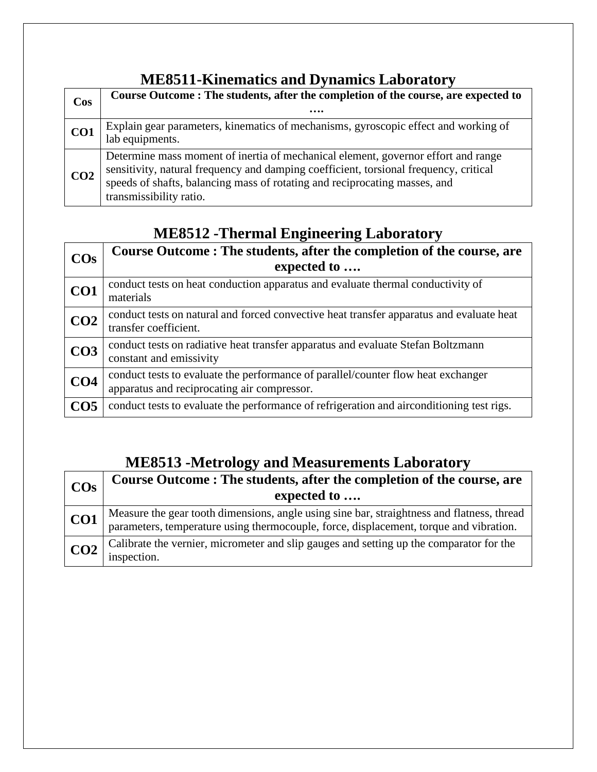# **ME8511-Kinematics and Dynamics Laboratory**

| <b>Cos</b>      | Course Outcome: The students, after the completion of the course, are expected to<br>                                                                                                                                                                                               |
|-----------------|-------------------------------------------------------------------------------------------------------------------------------------------------------------------------------------------------------------------------------------------------------------------------------------|
| CO <sub>1</sub> | Explain gear parameters, kinematics of mechanisms, gyroscopic effect and working of<br>lab equipments.                                                                                                                                                                              |
| CO <sub>2</sub> | Determine mass moment of inertia of mechanical element, governor effort and range<br>sensitivity, natural frequency and damping coefficient, torsional frequency, critical<br>speeds of shafts, balancing mass of rotating and reciprocating masses, and<br>transmissibility ratio. |

# **ME8512 -Thermal Engineering Laboratory**

| $\cos$          | Course Outcome: The students, after the completion of the course, are<br>expected to                                             |
|-----------------|----------------------------------------------------------------------------------------------------------------------------------|
| CO1             | conduct tests on heat conduction apparatus and evaluate thermal conductivity of<br>materials                                     |
| CO <sub>2</sub> | conduct tests on natural and forced convective heat transfer apparatus and evaluate heat<br>transfer coefficient.                |
| CO <sub>3</sub> | conduct tests on radiative heat transfer apparatus and evaluate Stefan Boltzmann<br>constant and emissivity                      |
| CO <sub>4</sub> | conduct tests to evaluate the performance of parallel/counter flow heat exchanger<br>apparatus and reciprocating air compressor. |
| CO <sub>5</sub> | conduct tests to evaluate the performance of refrigeration and airconditioning test rigs.                                        |

# **ME8513 -Metrology and Measurements Laboratory**

| $\overline{\text{COs}}$ | Course Outcome: The students, after the completion of the course, are<br>expected to                                                                                              |
|-------------------------|-----------------------------------------------------------------------------------------------------------------------------------------------------------------------------------|
| CO <sub>1</sub>         | Measure the gear tooth dimensions, angle using sine bar, straightness and flatness, thread parameters, temperature using thermocouple, force, displacement, torque and vibration. |
| CO <sub>2</sub>         | Calibrate the vernier, micrometer and slip gauges and setting up the comparator for the<br>inspection.                                                                            |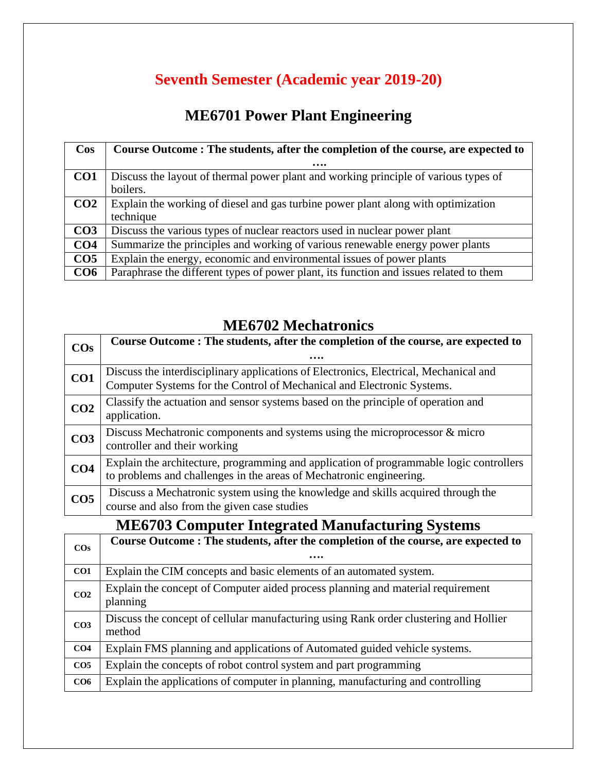# **Seventh Semester (Academic year 2019-20)**

# **ME6701 Power Plant Engineering**

| $\cos$          | Course Outcome: The students, after the completion of the course, are expected to      |
|-----------------|----------------------------------------------------------------------------------------|
|                 |                                                                                        |
| CO <sub>1</sub> | Discuss the layout of thermal power plant and working principle of various types of    |
|                 | boilers.                                                                               |
| CO <sub>2</sub> | Explain the working of diesel and gas turbine power plant along with optimization      |
|                 | technique                                                                              |
| CO <sub>3</sub> | Discuss the various types of nuclear reactors used in nuclear power plant              |
| CO <sub>4</sub> | Summarize the principles and working of various renewable energy power plants          |
| CO <sub>5</sub> | Explain the energy, economic and environmental issues of power plants                  |
| CO6             | Paraphrase the different types of power plant, its function and issues related to them |

# **ME6702 Mechatronics**

| $\cos$                                           | Course Outcome: The students, after the completion of the course, are expected to                                                                               |
|--------------------------------------------------|-----------------------------------------------------------------------------------------------------------------------------------------------------------------|
|                                                  | .                                                                                                                                                               |
| CO <sub>1</sub>                                  | Discuss the interdisciplinary applications of Electronics, Electrical, Mechanical and<br>Computer Systems for the Control of Mechanical and Electronic Systems. |
| CO <sub>2</sub>                                  | Classify the actuation and sensor systems based on the principle of operation and<br>application.                                                               |
| CO <sub>3</sub>                                  | Discuss Mechatronic components and systems using the microprocessor & micro<br>controller and their working                                                     |
| CO <sub>4</sub>                                  | Explain the architecture, programming and application of programmable logic controllers<br>to problems and challenges in the areas of Mechatronic engineering.  |
| CO <sub>5</sub>                                  | Discuss a Mechatronic system using the knowledge and skills acquired through the<br>course and also from the given case studies                                 |
| ME6703 Computer Integrated Monufacturing Systems |                                                                                                                                                                 |

### **ME6703 Computer Integrated Manufacturing Systems**

| $\cos$          | Course Outcome: The students, after the completion of the course, are expected to               |
|-----------------|-------------------------------------------------------------------------------------------------|
|                 |                                                                                                 |
| CO1             | Explain the CIM concepts and basic elements of an automated system.                             |
| CO <sub>2</sub> | Explain the concept of Computer aided process planning and material requirement<br>planning     |
| CO <sub>3</sub> | Discuss the concept of cellular manufacturing using Rank order clustering and Hollier<br>method |
| CO <sub>4</sub> | Explain FMS planning and applications of Automated guided vehicle systems.                      |
| CO <sub>5</sub> | Explain the concepts of robot control system and part programming                               |
| CO6             | Explain the applications of computer in planning, manufacturing and controlling                 |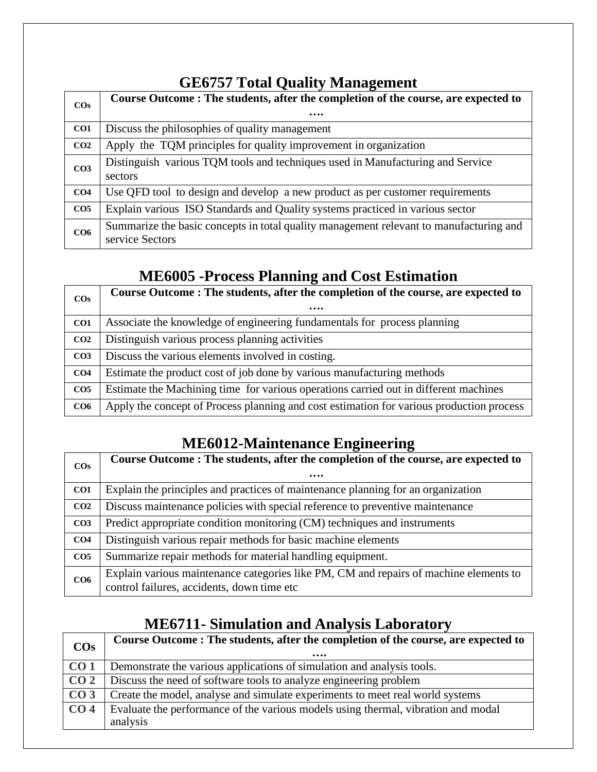| <b>GE6757 Total Quality Management</b> |  |  |
|----------------------------------------|--|--|
|----------------------------------------|--|--|

| $\cos$          | Course Outcome: The students, after the completion of the course, are expected to      |
|-----------------|----------------------------------------------------------------------------------------|
|                 |                                                                                        |
| CO <sub>1</sub> | Discuss the philosophies of quality management                                         |
| CO <sub>2</sub> | Apply the TQM principles for quality improvement in organization                       |
| CO <sub>3</sub> | Distinguish various TQM tools and techniques used in Manufacturing and Service         |
|                 | sectors                                                                                |
| CO <sub>4</sub> | Use QFD tool to design and develop a new product as per customer requirements          |
| CO <sub>5</sub> | Explain various ISO Standards and Quality systems practiced in various sector          |
| CO6             | Summarize the basic concepts in total quality management relevant to manufacturing and |
|                 | service Sectors                                                                        |

# **ME6005 -Process Planning and Cost Estimation**

| $\cos$          | Course Outcome: The students, after the completion of the course, are expected to        |
|-----------------|------------------------------------------------------------------------------------------|
|                 |                                                                                          |
| CO <sub>1</sub> | Associate the knowledge of engineering fundamentals for process planning                 |
| CO <sub>2</sub> | Distinguish various process planning activities                                          |
| CO <sub>3</sub> | Discuss the various elements involved in costing.                                        |
| CO <sub>4</sub> | Estimate the product cost of job done by various manufacturing methods                   |
| CO <sub>5</sub> | Estimate the Machining time for various operations carried out in different machines     |
| CO6             | Apply the concept of Process planning and cost estimation for various production process |

# **ME6012-Maintenance Engineering**

|                 | Course Outcome: The students, after the completion of the course, are expected to     |
|-----------------|---------------------------------------------------------------------------------------|
| $\cos$          |                                                                                       |
|                 |                                                                                       |
| CO <sub>1</sub> | Explain the principles and practices of maintenance planning for an organization      |
| CO <sub>2</sub> | Discuss maintenance policies with special reference to preventive maintenance         |
| CO <sub>3</sub> | Predict appropriate condition monitoring (CM) techniques and instruments              |
| CO <sub>4</sub> | Distinguish various repair methods for basic machine elements                         |
| CO <sub>5</sub> | Summarize repair methods for material handling equipment.                             |
| CO6             | Explain various maintenance categories like PM, CM and repairs of machine elements to |
|                 | control failures, accidents, down time etc                                            |

# **ME6711- Simulation and Analysis Laboratory**

| $\cos$          | Course Outcome: The students, after the completion of the course, are expected to<br>$\bullet\bullet\bullet\bullet$ |
|-----------------|---------------------------------------------------------------------------------------------------------------------|
| CO <sub>1</sub> | Demonstrate the various applications of simulation and analysis tools.                                              |
| CO <sub>2</sub> | Discuss the need of software tools to analyze engineering problem                                                   |
| CO <sub>3</sub> | Create the model, analyse and simulate experiments to meet real world systems                                       |
| CO <sub>4</sub> | Evaluate the performance of the various models using thermal, vibration and modal                                   |
|                 | analysis                                                                                                            |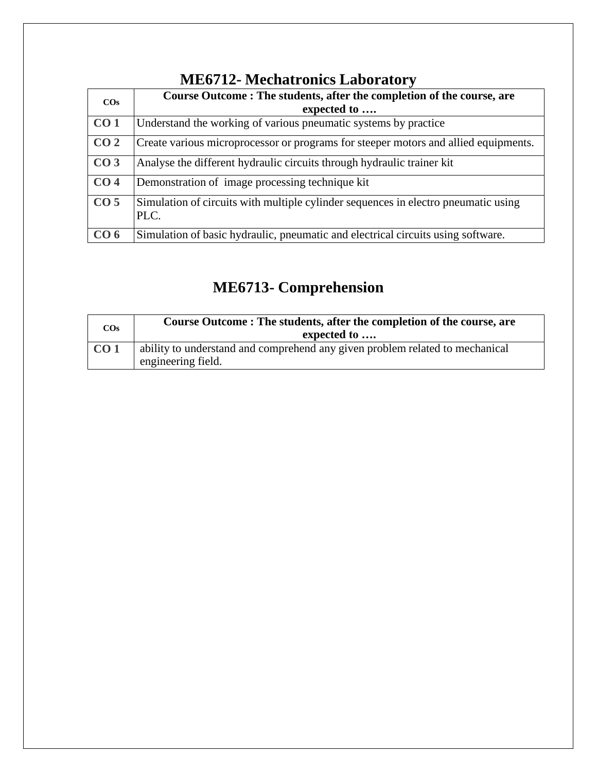| <b>ME6712- Mechatronics Laboratory</b> |
|----------------------------------------|
|----------------------------------------|

| $\cos$          | Course Outcome: The students, after the completion of the course, are<br>expected to       |
|-----------------|--------------------------------------------------------------------------------------------|
| CO <sub>1</sub> | Understand the working of various pneumatic systems by practice                            |
| CO <sub>2</sub> | Create various microprocessor or programs for steeper motors and allied equipments.        |
| CO <sub>3</sub> | Analyse the different hydraulic circuits through hydraulic trainer kit                     |
| CO <sub>4</sub> | Demonstration of image processing technique kit                                            |
| CO <sub>5</sub> | Simulation of circuits with multiple cylinder sequences in electro pneumatic using<br>PLC. |
| CO <sub>6</sub> | Simulation of basic hydraulic, pneumatic and electrical circuits using software.           |

# **ME6713- Comprehension**

| $\cos$          | Course Outcome: The students, after the completion of the course, are<br>expected to               |
|-----------------|----------------------------------------------------------------------------------------------------|
| CO <sub>1</sub> | ability to understand and comprehend any given problem related to mechanical<br>engineering field. |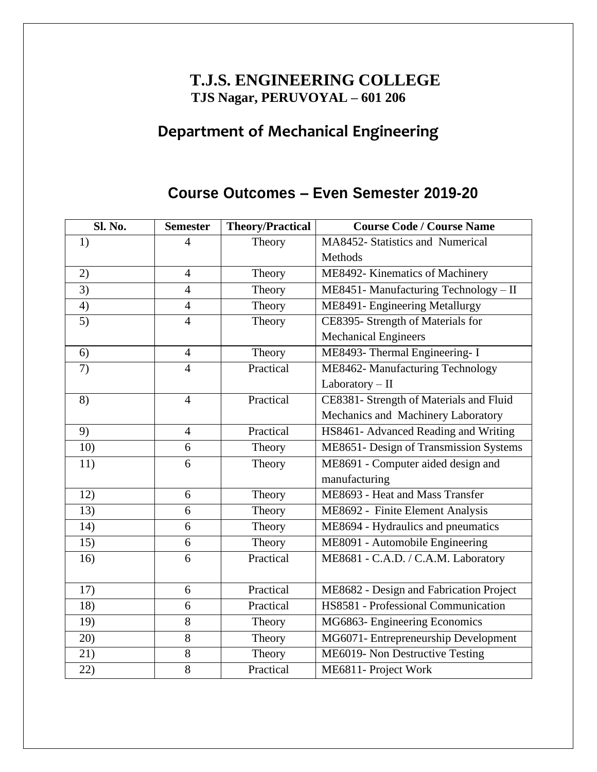## **T.J.S. ENGINEERING COLLEGE TJS Nagar, PERUVOYAL – 601 206**

# **Department of Mechanical Engineering**

## **Course Outcomes – Even Semester 2019-20**

| Sl. No.         | <b>Semester</b> | <b>Theory/Practical</b> | <b>Course Code / Course Name</b>        |
|-----------------|-----------------|-------------------------|-----------------------------------------|
| 1)              | $\overline{4}$  | Theory                  | MA8452- Statistics and Numerical        |
|                 |                 |                         | Methods                                 |
| 2)              | $\overline{4}$  | Theory                  | ME8492- Kinematics of Machinery         |
| $\overline{3)}$ | $\overline{4}$  | Theory                  | ME8451- Manufacturing Technology - II   |
| 4)              | $\overline{4}$  | Theory                  | ME8491- Engineering Metallurgy          |
| 5)              | $\overline{4}$  | Theory                  | CE8395- Strength of Materials for       |
|                 |                 |                         | <b>Mechanical Engineers</b>             |
| 6)              | $\overline{4}$  | Theory                  | ME8493- Thermal Engineering- I          |
| 7)              | $\overline{4}$  | Practical               | ME8462- Manufacturing Technology        |
|                 |                 |                         | Laboratory - II                         |
| 8)              | $\overline{4}$  | Practical               | CE8381- Strength of Materials and Fluid |
|                 |                 |                         | Mechanics and Machinery Laboratory      |
| 9)              | $\overline{4}$  | Practical               | HS8461- Advanced Reading and Writing    |
| 10)             | 6               | Theory                  | ME8651- Design of Transmission Systems  |
| 11)             | 6               | Theory                  | ME8691 - Computer aided design and      |
|                 |                 |                         | manufacturing                           |
| 12)             | 6               | Theory                  | ME8693 - Heat and Mass Transfer         |
| 13)             | 6               | Theory                  | ME8692 - Finite Element Analysis        |
| 14)             | 6               | Theory                  | ME8694 - Hydraulics and pneumatics      |
| 15)             | 6               | Theory                  | ME8091 - Automobile Engineering         |
| 16)             | 6               | Practical               | ME8681 - C.A.D. / C.A.M. Laboratory     |
|                 |                 |                         |                                         |
| 17)             | 6               | Practical               | ME8682 - Design and Fabrication Project |
| 18)             | 6               | Practical               | HS8581 - Professional Communication     |
| 19)             | 8               | Theory                  | MG6863- Engineering Economics           |
| 20)             | $8\,$           | Theory                  | MG6071- Entrepreneurship Development    |
| 21)             | 8               | Theory                  | ME6019- Non Destructive Testing         |
| 22)             | 8               | Practical               | ME6811- Project Work                    |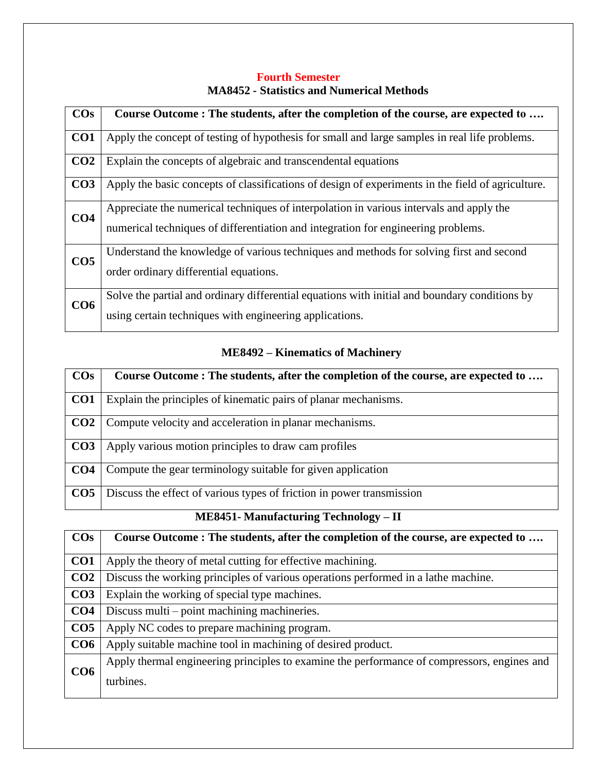#### **Fourth Semester MA8452 - Statistics and Numerical Methods**

| $\cos$          | Course Outcome: The students, after the completion of the course, are expected to                 |
|-----------------|---------------------------------------------------------------------------------------------------|
| CO <sub>1</sub> | Apply the concept of testing of hypothesis for small and large samples in real life problems.     |
| CO <sub>2</sub> | Explain the concepts of algebraic and transcendental equations                                    |
| CO <sub>3</sub> | Apply the basic concepts of classifications of design of experiments in the field of agriculture. |
| CO <sub>4</sub> | Appreciate the numerical techniques of interpolation in various intervals and apply the           |
|                 | numerical techniques of differentiation and integration for engineering problems.                 |
| CO <sub>5</sub> | Understand the knowledge of various techniques and methods for solving first and second           |
|                 | order ordinary differential equations.                                                            |
| CO6             | Solve the partial and ordinary differential equations with initial and boundary conditions by     |
|                 | using certain techniques with engineering applications.                                           |

#### **ME8492 – Kinematics of Machinery**

| $\cos$          | Course Outcome: The students, after the completion of the course, are expected to |
|-----------------|-----------------------------------------------------------------------------------|
| CO <sub>1</sub> | Explain the principles of kinematic pairs of planar mechanisms.                   |
| CO <sub>2</sub> | Compute velocity and acceleration in planar mechanisms.                           |
| CO <sub>3</sub> | Apply various motion principles to draw cam profiles                              |
| CO <sub>4</sub> | Compute the gear terminology suitable for given application                       |
| CO <sub>5</sub> | Discuss the effect of various types of friction in power transmission             |

## **ME8451- Manufacturing Technology – II**

| $\cos$          | Course Outcome: The students, after the completion of the course, are expected to           |
|-----------------|---------------------------------------------------------------------------------------------|
| CO <sub>1</sub> | Apply the theory of metal cutting for effective machining.                                  |
| CO <sub>2</sub> | Discuss the working principles of various operations performed in a lathe machine.          |
| CO <sub>3</sub> | Explain the working of special type machines.                                               |
| CO <sub>4</sub> | Discuss multi – point machining machineries.                                                |
| CO <sub>5</sub> | Apply NC codes to prepare machining program.                                                |
| CO6             | Apply suitable machine tool in machining of desired product.                                |
| CO6             | Apply thermal engineering principles to examine the performance of compressors, engines and |
|                 | turbines.                                                                                   |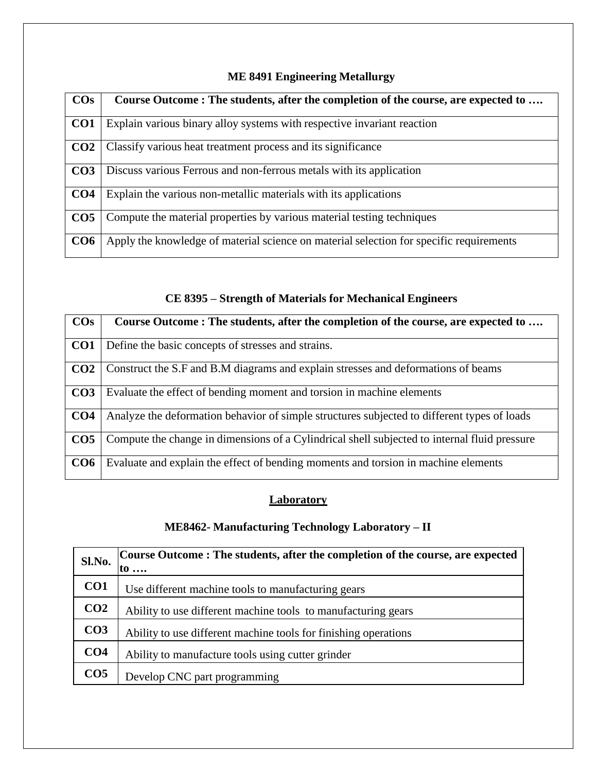| $\cos$          | Course Outcome: The students, after the completion of the course, are expected to       |
|-----------------|-----------------------------------------------------------------------------------------|
|                 |                                                                                         |
| CO <sub>1</sub> | Explain various binary alloy systems with respective invariant reaction                 |
| CO <sub>2</sub> | Classify various heat treatment process and its significance                            |
| CO <sub>3</sub> | Discuss various Ferrous and non-ferrous metals with its application                     |
| CO <sub>4</sub> | Explain the various non-metallic materials with its applications                        |
| CO <sub>5</sub> | Compute the material properties by various material testing techniques                  |
| CO6             | Apply the knowledge of material science on material selection for specific requirements |

#### **ME 8491 Engineering Metallurgy**

### **CE 8395 – Strength of Materials for Mechanical Engineers**

| $\cos$          | Course Outcome: The students, after the completion of the course, are expected to            |
|-----------------|----------------------------------------------------------------------------------------------|
| CO <sub>1</sub> | Define the basic concepts of stresses and strains.                                           |
| CO <sub>2</sub> | Construct the S.F and B.M diagrams and explain stresses and deformations of beams            |
| CO <sub>3</sub> | Evaluate the effect of bending moment and torsion in machine elements                        |
| CO <sub>4</sub> | Analyze the deformation behavior of simple structures subjected to different types of loads  |
| CO <sub>5</sub> | Compute the change in dimensions of a Cylindrical shell subjected to internal fluid pressure |
| CO6             | Evaluate and explain the effect of bending moments and torsion in machine elements           |

#### **Laboratory**

### **ME8462- Manufacturing Technology Laboratory – II**

| Sl.No.          | Course Outcome: The students, after the completion of the course, are expected<br>to $\ldots$ |
|-----------------|-----------------------------------------------------------------------------------------------|
| CO <sub>1</sub> | Use different machine tools to manufacturing gears                                            |
| CO <sub>2</sub> | Ability to use different machine tools to manufacturing gears                                 |
| CO <sub>3</sub> | Ability to use different machine tools for finishing operations                               |
| CO <sub>4</sub> | Ability to manufacture tools using cutter grinder                                             |
| CO <sub>5</sub> | Develop CNC part programming                                                                  |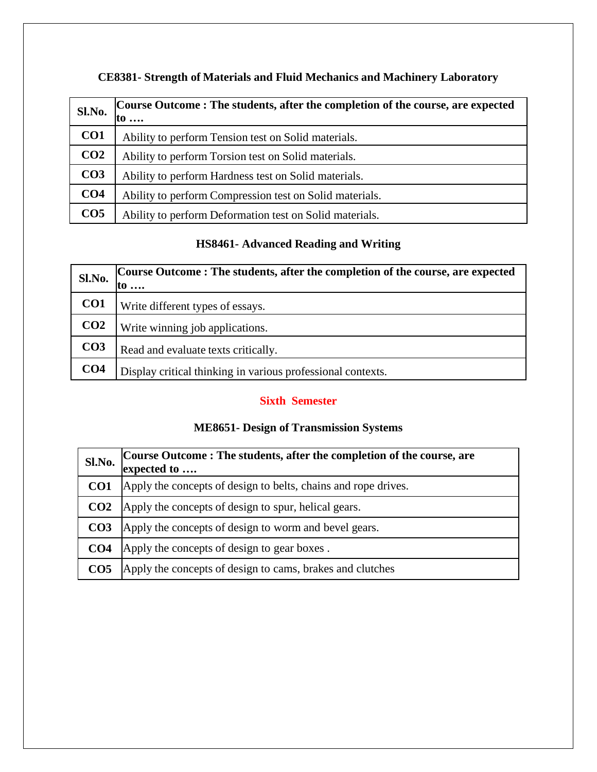| Sl.No.          | Course Outcome: The students, after the completion of the course, are expected<br>to $\ldots$ |
|-----------------|-----------------------------------------------------------------------------------------------|
| CO1             | Ability to perform Tension test on Solid materials.                                           |
| CO <sub>2</sub> | Ability to perform Torsion test on Solid materials.                                           |
| CO <sub>3</sub> | Ability to perform Hardness test on Solid materials.                                          |
| CO <sub>4</sub> | Ability to perform Compression test on Solid materials.                                       |
| CO <sub>5</sub> | Ability to perform Deformation test on Solid materials.                                       |

### **CE8381- Strength of Materials and Fluid Mechanics and Machinery Laboratory**

### **HS8461- Advanced Reading and Writing**

| Sl.No.          | Course Outcome: The students, after the completion of the course, are expected<br>to $\ldots$ |
|-----------------|-----------------------------------------------------------------------------------------------|
| CO <sub>1</sub> | Write different types of essays.                                                              |
| CO <sub>2</sub> | Write winning job applications.                                                               |
| CO <sub>3</sub> | Read and evaluate texts critically.                                                           |
| CO <sub>4</sub> | Display critical thinking in various professional contexts.                                   |

#### **Sixth Semester**

#### **ME8651- Design of Transmission Systems**

| Sl.No.          | Course Outcome : The students, after the completion of the course, are<br>expected to |
|-----------------|---------------------------------------------------------------------------------------|
| CO <sub>1</sub> | Apply the concepts of design to belts, chains and rope drives.                        |
| CO <sub>2</sub> | Apply the concepts of design to spur, helical gears.                                  |
| CO <sub>3</sub> | Apply the concepts of design to worm and bevel gears.                                 |
| CO <sub>4</sub> | Apply the concepts of design to gear boxes.                                           |
| CO <sub>5</sub> | Apply the concepts of design to cams, brakes and clutches                             |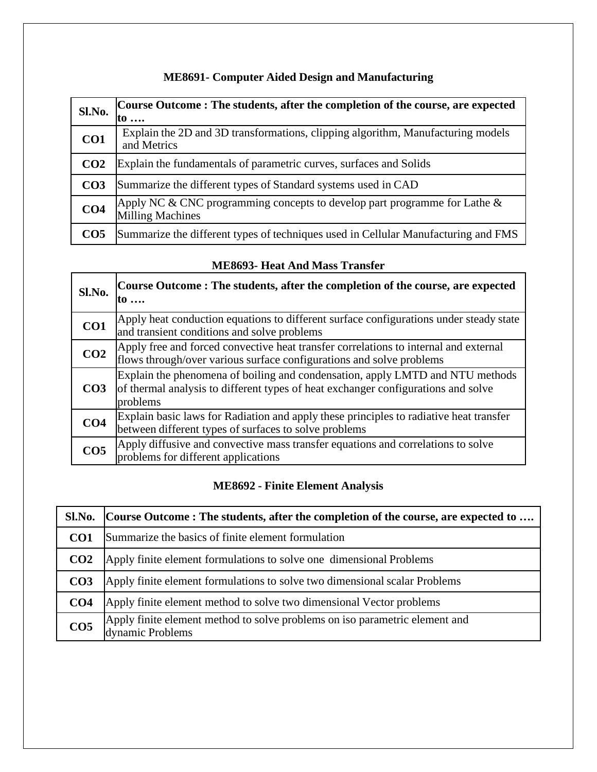| Sl.No.          | Course Outcome: The students, after the completion of the course, are expected<br>to $\ldots$           |
|-----------------|---------------------------------------------------------------------------------------------------------|
| CO1             | Explain the 2D and 3D transformations, clipping algorithm, Manufacturing models<br>and Metrics          |
| CO <sub>2</sub> | Explain the fundamentals of parametric curves, surfaces and Solids                                      |
| CO <sub>3</sub> | Summarize the different types of Standard systems used in CAD                                           |
| CO <sub>4</sub> | Apply NC & CNC programming concepts to develop part programme for Lathe $\&$<br><b>Milling Machines</b> |
| CO <sub>5</sub> | Summarize the different types of techniques used in Cellular Manufacturing and FMS                      |

### **ME8691- Computer Aided Design and Manufacturing**

#### **ME8693- Heat And Mass Transfer**

| Sl.No.          | Course Outcome: The students, after the completion of the course, are expected<br>to                                                                                           |
|-----------------|--------------------------------------------------------------------------------------------------------------------------------------------------------------------------------|
| CO <sub>1</sub> | Apply heat conduction equations to different surface configurations under steady state<br>and transient conditions and solve problems                                          |
| CO <sub>2</sub> | Apply free and forced convective heat transfer correlations to internal and external<br>flows through/over various surface configurations and solve problems                   |
| CO <sub>3</sub> | Explain the phenomena of boiling and condensation, apply LMTD and NTU methods<br>of thermal analysis to different types of heat exchanger configurations and solve<br>problems |
| CO <sub>4</sub> | Explain basic laws for Radiation and apply these principles to radiative heat transfer<br>between different types of surfaces to solve problems                                |
| CO <sub>5</sub> | Apply diffusive and convective mass transfer equations and correlations to solve<br>problems for different applications                                                        |

### **ME8692 - Finite Element Analysis**

| Sl.No.          | Course Outcome: The students, after the completion of the course, are expected to               |
|-----------------|-------------------------------------------------------------------------------------------------|
| CO <sub>1</sub> | Summarize the basics of finite element formulation                                              |
| CO <sub>2</sub> | Apply finite element formulations to solve one dimensional Problems                             |
| CO <sub>3</sub> | Apply finite element formulations to solve two dimensional scalar Problems                      |
| CO <sub>4</sub> | Apply finite element method to solve two dimensional Vector problems                            |
| CO <sub>5</sub> | Apply finite element method to solve problems on iso parametric element and<br>dynamic Problems |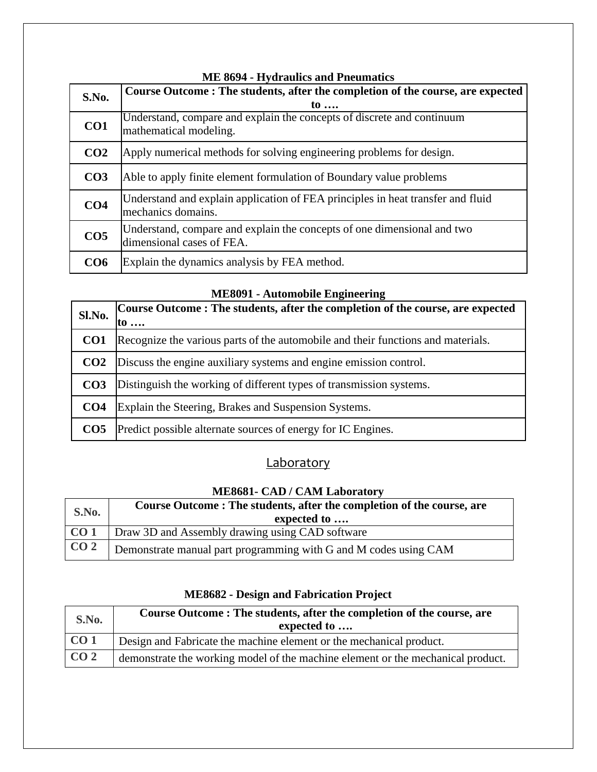| <b>ME 8694 - Hydraulics and Pneumatics</b> |                                                                                 |
|--------------------------------------------|---------------------------------------------------------------------------------|
| S.No.                                      | Course Outcome: The students, after the completion of the course, are expected  |
|                                            | to $\ldots$                                                                     |
| CO <sub>1</sub>                            | Understand, compare and explain the concepts of discrete and continuum          |
|                                            | mathematical modeling.                                                          |
| CO <sub>2</sub>                            | Apply numerical methods for solving engineering problems for design.            |
| CO <sub>3</sub>                            | Able to apply finite element formulation of Boundary value problems             |
|                                            | Understand and explain application of FEA principles in heat transfer and fluid |
| CO <sub>4</sub>                            | mechanics domains.                                                              |
| CO <sub>5</sub>                            | Understand, compare and explain the concepts of one dimensional and two         |
|                                            | dimensional cases of FEA.                                                       |
| CO <sub>6</sub>                            | Explain the dynamics analysis by FEA method.                                    |
|                                            |                                                                                 |

# **Sl.No. Course Outcome : The students, after the completion of the course, are expected to …. CO1** Recognize the various parts of the automobile and their functions and materials. **CO2** Discuss the engine auxiliary systems and engine emission control. **CO3** Distinguish the working of different types of transmission systems. **CO4** Explain the Steering, Brakes and Suspension Systems. **CO5** Predict possible alternate sources of energy for IC Engines.

## **Laboratory**

#### **ME8681- CAD / CAM Laboratory**

| S.No.           | Course Outcome: The students, after the completion of the course, are<br>expected to |
|-----------------|--------------------------------------------------------------------------------------|
| CO <sub>1</sub> | Draw 3D and Assembly drawing using CAD software                                      |
| CO <sub>2</sub> | Demonstrate manual part programming with G and M codes using CAM                     |

| S.No.           | Course Outcome: The students, after the completion of the course, are<br>expected to |
|-----------------|--------------------------------------------------------------------------------------|
| CO <sub>1</sub> | Design and Fabricate the machine element or the mechanical product.                  |
| CO <sub>2</sub> | demonstrate the working model of the machine element or the mechanical product.      |

#### **ME8682 - Design and Fabrication Project**

#### **ME8091 - Automobile Engineering**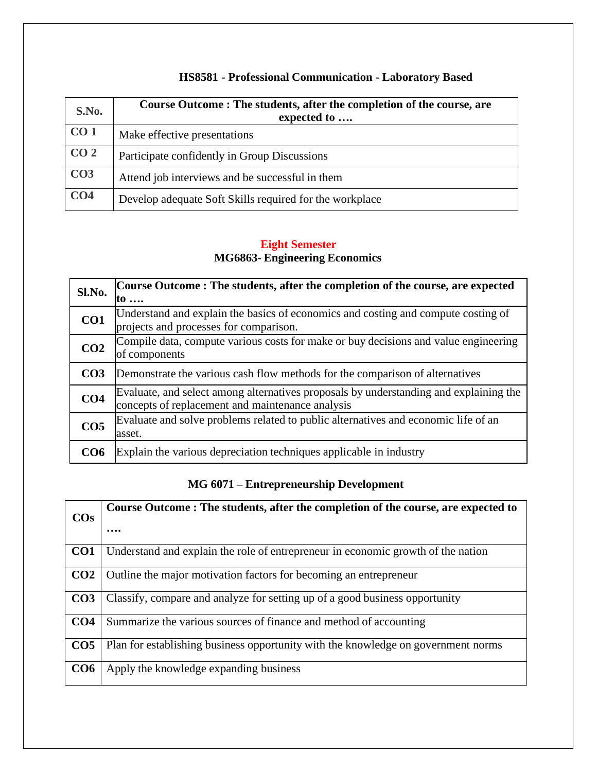| S.No.           | Course Outcome: The students, after the completion of the course, are<br>expected to |
|-----------------|--------------------------------------------------------------------------------------|
| CO <sub>1</sub> | Make effective presentations                                                         |
| CO <sub>2</sub> | Participate confidently in Group Discussions                                         |
| CO <sub>3</sub> | Attend job interviews and be successful in them                                      |
| CO <sub>4</sub> | Develop adequate Soft Skills required for the workplace                              |

### **HS8581 - Professional Communication - Laboratory Based**

#### **Eight Semester MG6863- Engineering Economics**

| Sl.No.          | Course Outcome: The students, after the completion of the course, are expected<br>$\mathfrak{g}$                                          |
|-----------------|-------------------------------------------------------------------------------------------------------------------------------------------|
| CO1             | Understand and explain the basics of economics and costing and compute costing of<br>projects and processes for comparison.               |
| CO <sub>2</sub> | Compile data, compute various costs for make or buy decisions and value engineering<br>of components                                      |
| CO <sub>3</sub> | Demonstrate the various cash flow methods for the comparison of alternatives                                                              |
| CO <sub>4</sub> | Evaluate, and select among alternatives proposals by understanding and explaining the<br>concepts of replacement and maintenance analysis |
| CO <sub>5</sub> | Evaluate and solve problems related to public alternatives and economic life of an<br>asset.                                              |
| CO <sub>6</sub> | Explain the various depreciation techniques applicable in industry                                                                        |

### **MG 6071 – Entrepreneurship Development**

| $\cos$          | Course Outcome : The students, after the completion of the course, are expected to |
|-----------------|------------------------------------------------------------------------------------|
|                 | .                                                                                  |
| CO <sub>1</sub> | Understand and explain the role of entrepreneur in economic growth of the nation   |
| CO <sub>2</sub> | Outline the major motivation factors for becoming an entrepreneur                  |
| CO <sub>3</sub> | Classify, compare and analyze for setting up of a good business opportunity        |
| CO <sub>4</sub> | Summarize the various sources of finance and method of accounting                  |
| CO <sub>5</sub> | Plan for establishing business opportunity with the knowledge on government norms  |
| CO <sub>6</sub> | Apply the knowledge expanding business                                             |